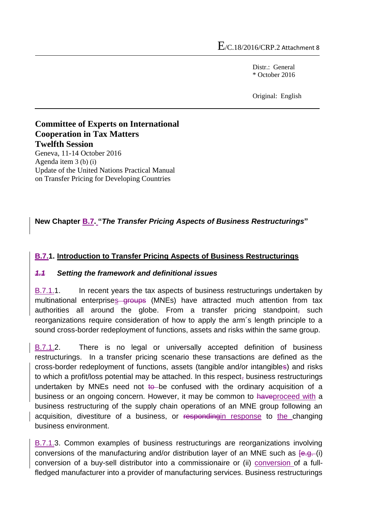Distr.: General \* October 2016

Original: English

# **Committee of Experts on International Cooperation in Tax Matters Twelfth Session**

Geneva, 11-14 October 2016 Agenda item 3 (b) (i) Update of the United Nations Practical Manual on Transfer Pricing for Developing Countries

# **New Chapter B.7. "***The Transfer Pricing Aspects of Business Restructurings***"**

### **B.7.1. Introduction to Transfer Pricing Aspects of Business Restructurings**

### *1.1 Setting the framework and definitional issues*

B.7.1.1. In recent years the tax aspects of business restructurings undertaken by multinational enterprises groups (MNEs) have attracted much attention from tax authorities all around the globe. From a transfer pricing standpoint, such reorganizations require consideration of how to apply the arm´s length principle to a sound cross-border redeployment of functions, assets and risks within the same group.

B.7.1.2. There is no legal or universally accepted definition of business restructurings. In a transfer pricing scenario these transactions are defined as the cross-border redeployment of functions, assets (tangible and/or intangibles) and risks to which a profit/loss potential may be attached. In this respect, business restructurings undertaken by MNEs need not to be confused with the ordinary acquisition of a business or an ongoing concern. However, it may be common to haveproceed with a business restructuring of the supply chain operations of an MNE group following an acquisition, divestiture of a business, or responding in response to the changing business environment.

B.7.1.3. Common examples of business restructurings are reorganizations involving conversions of the manufacturing and/or distribution layer of an MNE such as  $[**e.g.** (i)$ conversion of a buy-sell distributor into a commissionaire or (ii) conversion of a fullfledged manufacturer into a provider of manufacturing services. Business restructurings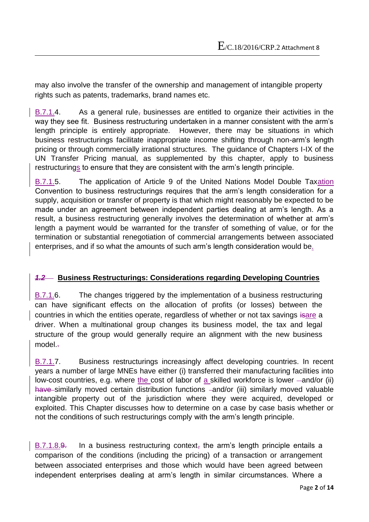may also involve the transfer of the ownership and management of intangible property rights such as patents, trademarks, brand names etc.

B.7.1.4. As a general rule, businesses are entitled to organize their activities in the way they see fit. Business restructuring undertaken in a manner consistent with the arm's length principle is entirely appropriate. However, there may be situations in which business restructurings facilitate inappropriate income shifting through non-arm's length pricing or through commercially irrational structures. The guidance of Chapters I-IX of the UN Transfer Pricing manual, as supplemented by this chapter, apply to business restructurings to ensure that they are consistent with the arm's length principle.

B.7.1.5. The application of Article 9 of the United Nations Model Double Taxation Convention to business restructurings requires that the arm's length consideration for a supply, acquisition or transfer of property is that which might reasonably be expected to be made under an agreement between independent parties dealing at arm's length. As a result, a business restructuring generally involves the determination of whether at arm's length a payment would be warranted for the transfer of something of value, or for the termination or substantial renegotiation of commercial arrangements between associated enterprises, and if so what the amounts of such arm's length consideration would be.

### *1.2* **Business Restructurings: Considerations regarding Developing Countries**

B.7.1.6. The changes triggered by the implementation of a business restructuring can have significant effects on the allocation of profits (or losses) between the countries in which the entities operate, regardless of whether or not tax savings isare a driver. When a multinational group changes its business model, the tax and legal structure of the group would generally require an alignment with the new business model..

B.7.1.7. Business restructurings increasingly affect developing countries. In recent years a number of large MNEs have either (i) transferred their manufacturing facilities into low-cost countries, e.g. where the cost of labor of a skilled workforce is lower --and/or (ii) have similarly moved certain distribution functions -and/or (iii) similarly moved valuable intangible property out of the jurisdiction where they were acquired, developed or exploited. This Chapter discusses how to determine on a case by case basis whether or not the conditions of such restructurings comply with the arm's length principle.

B.7.1.8.9. In a business restructuring context, the arm's length principle entails a comparison of the conditions (including the pricing) of a transaction or arrangement between associated enterprises and those which would have been agreed between independent enterprises dealing at arm's length in similar circumstances. Where a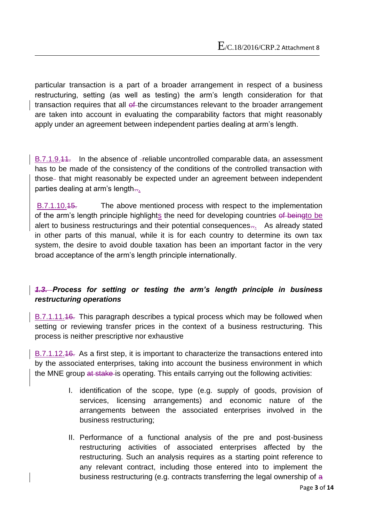particular transaction is a part of a broader arrangement in respect of a business restructuring, setting (as well as testing) the arm's length consideration for that transaction requires that all of the circumstances relevant to the broader arrangement are taken into account in evaluating the comparability factors that might reasonably apply under an agreement between independent parties dealing at arm's length.

B.7.1.9.11. In the absence of -reliable uncontrolled comparable data, an assessment has to be made of the consistency of the conditions of the controlled transaction with those- that might reasonably be expected under an agreement between independent parties dealing at arm's length $\frac{1}{n}$ 

B.7.1.10.45. The above mentioned process with respect to the implementation of the arm's length principle highlights the need for developing countries of beingto be alert to business restructurings and their potential consequences $\frac{1}{n}$ . As already stated in other parts of this manual, while it is for each country to determine its own tax system, the desire to avoid double taxation has been an important factor in the very broad acceptance of the arm's length principle internationally.

# *1.3. Process for setting or testing the arm's length principle in business restructuring operations*

B.7.1.11.16. This paragraph describes a typical process which may be followed when setting or reviewing transfer prices in the context of a business restructuring. This process is neither prescriptive nor exhaustive

B.7.1.12.<del>16.</del> As a first step, it is important to characterize the transactions entered into by the associated enterprises, taking into account the business environment in which the MNE group at stake is operating. This entails carrying out the following activities:

- I. identification of the scope, type (e.g. supply of goods, provision of services, licensing arrangements) and economic nature of the arrangements between the associated enterprises involved in the business restructuring;
- II. Performance of a functional analysis of the pre and post-business restructuring activities of associated enterprises affected by the restructuring. Such an analysis requires as a starting point reference to any relevant contract, including those entered into to implement the business restructuring (e.g. contracts transferring the legal ownership of a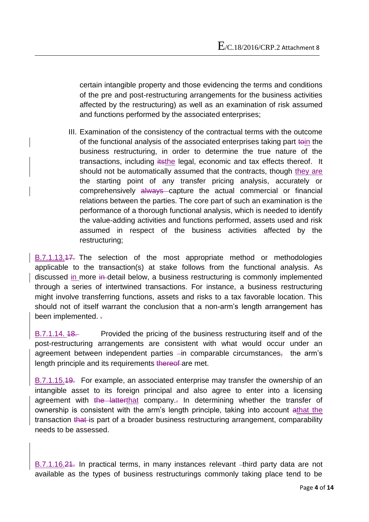certain intangible property and those evidencing the terms and conditions of the pre and post-restructuring arrangements for the business activities affected by the restructuring) as well as an examination of risk assumed and functions performed by the associated enterprises;

III. Examination of the consistency of the contractual terms with the outcome of the functional analysis of the associated enterprises taking part toin the business restructuring, in order to determine the true nature of the transactions, including itsthe legal, economic and tax effects thereof. It should not be automatically assumed that the contracts, though they are the starting point of any transfer pricing analysis, accurately or comprehensively always capture the actual commercial or financial relations between the parties. The core part of such an examination is the performance of a thorough functional analysis, which is needed to identify the value-adding activities and functions performed, assets used and risk assumed in respect of the business activities affected by the restructuring;

B.7.1.13.17. The selection of the most appropriate method or methodologies applicable to the transaction(s) at stake follows from the functional analysis. As discussed in more in-detail below, a business restructuring is commonly implemented through a series of intertwined transactions. For instance, a business restructuring might involve transferring functions, assets and risks to a tax favorable location. This should not of itself warrant the conclusion that a non-arm's length arrangement has been implemented. -

B.7.1.14. 18. Provided the pricing of the business restructuring itself and of the post-restructuring arrangements are consistent with what would occur under an agreement between independent parties  $-$ in comparable circumstances, the arm's length principle and its requirements thereof are met.

B.7.1.15.19. For example, an associated enterprise may transfer the ownership of an intangible asset to its foreign principal and also agree to enter into a licensing agreement with the latterthat company... In determining whether the transfer of ownership is consistent with the arm's length principle, taking into account athat the transaction that is part of a broader business restructuring arrangement, comparability needs to be assessed.

B.7.1.16.21. In practical terms, in many instances relevant -third party data are not available as the types of business restructurings commonly taking place tend to be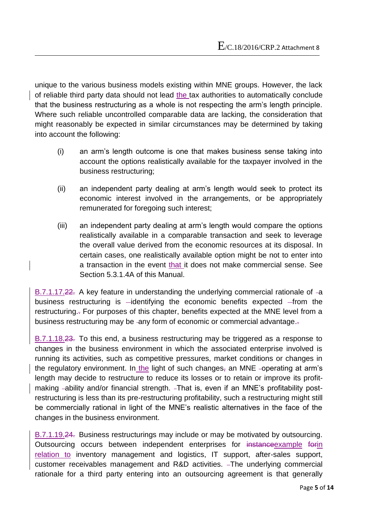unique to the various business models existing within MNE groups. However, the lack of reliable third party data should not lead the tax authorities to automatically conclude that the business restructuring as a whole is not respecting the arm's length principle. Where such reliable uncontrolled comparable data are lacking, the consideration that might reasonably be expected in similar circumstances may be determined by taking into account the following:

- (i) an arm's length outcome is one that makes business sense taking into account the options realistically available for the taxpayer involved in the business restructuring;
- (ii) an independent party dealing at arm's length would seek to protect its economic interest involved in the arrangements, or be appropriately remunerated for foregoing such interest;
- (iii) an independent party dealing at arm's length would compare the options realistically available in a comparable transaction and seek to leverage the overall value derived from the economic resources at its disposal. In certain cases, one realistically available option might be not to enter into a transaction in the event that it does not make commercial sense. See Section 5.3.1.4A of this Manual.

B.7.1.17.22. A key feature in understanding the underlying commercial rationale of -a business restructuring is  $-i$ dentifying the economic benefits expected  $-i$ rom the restructuring.. For purposes of this chapter, benefits expected at the MNE level from a business restructuring may be -any form of economic or commercial advantage.

B.7.1.18.23. To this end, a business restructuring may be triggered as a response to changes in the business environment in which the associated enterprise involved is running its activities, such as competitive pressures, market conditions or changes in the regulatory environment. In the light of such changes, an MNE -operating at arm's length may decide to restructure to reduce its losses or to retain or improve its profitmaking -ability and/or financial strength. -That is, even if an MNE's profitability postrestructuring is less than its pre-restructuring profitability, such a restructuring might still be commercially rational in light of the MNE's realistic alternatives in the face of the changes in the business environment.

B.7.1.19.24. Business restructurings may include or may be motivated by outsourcing. Outsourcing occurs between independent enterprises for instanceexample forin relation to inventory management and logistics, IT support, after-sales support, customer receivables management and R&D activities. - The underlying commercial rationale for a third party entering into an outsourcing agreement is that generally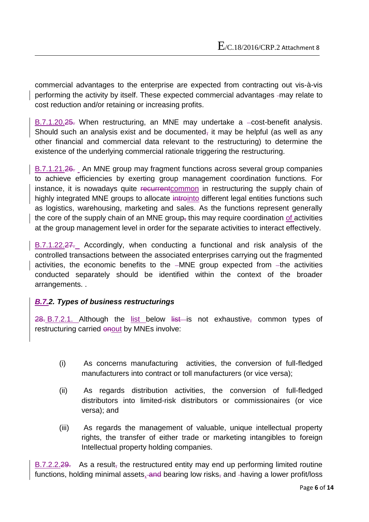commercial advantages to the enterprise are expected from contracting out vis-à-vis performing the activity by itself. These expected commercial advantages may relate to cost reduction and/or retaining or increasing profits.

B.7.1.20.25. When restructuring, an MNE may undertake a  $-cost\text{-}benefit$  analysis. Should such an analysis exist and be documented, it may be helpful (as well as any other financial and commercial data relevant to the restructuring) to determine the existence of the underlying commercial rationale triggering the restructuring.

B.7.1.21.26. An MNE group may fragment functions across several group companies to achieve efficiencies by exerting group management coordination functions. For instance, it is nowadays quite recurrentcommon in restructuring the supply chain of highly integrated MNE groups to allocate introinto different legal entities functions such as logistics, warehousing, marketing and sales. As the functions represent generally the core of the supply chain of an MNE group, this may require coordination of activities at the group management level in order for the separate activities to interact effectively.

B.7.1.22.27. Accordingly, when conducting a functional and risk analysis of the controlled transactions between the associated enterprises carrying out the fragmented activities, the economic benefits to the  $-MNE$  group expected from  $-$ the activities conducted separately should be identified within the context of the broader arrangements. .

### *B.7.2. Types of business restructurings*

28. B.7.2.1. Although the list below list is not exhaustive, common types of restructuring carried onout by MNEs involve:

- (i) As concerns manufacturing activities, the conversion of full-fledged manufacturers into contract or toll manufacturers (or vice versa);
- (ii) As regards distribution activities, the conversion of full-fledged distributors into limited-risk distributors or commissionaires (or vice versa); and
- (iii) As regards the management of valuable, unique intellectual property rights, the transfer of either trade or marketing intangibles to foreign Intellectual property holding companies.

B.7.2.2.29. As a result, the restructured entity may end up performing limited routine functions, holding minimal assets, and bearing low risks, and -having a lower profit/loss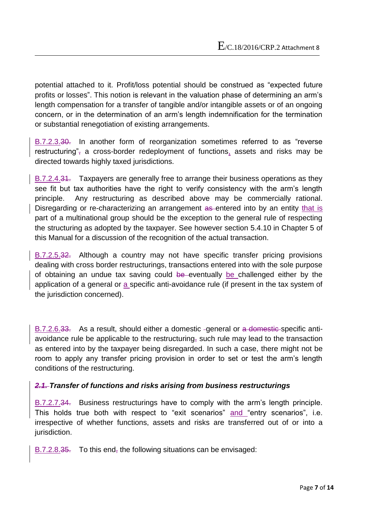potential attached to it. Profit/loss potential should be construed as "expected future profits or losses". This notion is relevant in the valuation phase of determining an arm's length compensation for a transfer of tangible and/or intangible assets or of an ongoing concern, or in the determination of an arm's length indemnification for the termination or substantial renegotiation of existing arrangements.

B.7.2.3.30. In another form of reorganization sometimes referred to as "reverse restructuring", a cross-border redeployment of functions, assets and risks may be directed towards highly taxed jurisdictions.

B.7.2.4.31. Taxpayers are generally free to arrange their business operations as they see fit but tax authorities have the right to verify consistency with the arm's length principle. Any restructuring as described above may be commercially rational. Disregarding or re-characterizing an arrangement as entered into by an entity that is part of a multinational group should be the exception to the general rule of respecting the structuring as adopted by the taxpayer. See however section 5.4.10 in Chapter 5 of this Manual for a discussion of the recognition of the actual transaction.

B.7.2.5.32. Although a country may not have specific transfer pricing provisions dealing with cross border restructurings, transactions entered into with the sole purpose of obtaining an undue tax saving could be eventually be challenged either by the application of a general or a specific anti-avoidance rule (if present in the tax system of the jurisdiction concerned).

B.7.2.6.33. As a result, should either a domestic -general or a domestic specific antiavoidance rule be applicable to the restructuring, such rule may lead to the transaction as entered into by the taxpayer being disregarded. In such a case, there might not be room to apply any transfer pricing provision in order to set or test the arm's length conditions of the restructuring.

### *2.1. Transfer of functions and risks arising from business restructurings*

B.7.2.7.34. Business restructurings have to comply with the arm's length principle. This holds true both with respect to "exit scenarios" and "entry scenarios", i.e. irrespective of whether functions, assets and risks are transferred out of or into a jurisdiction.

B.7.2.8.35. To this end, the following situations can be envisaged: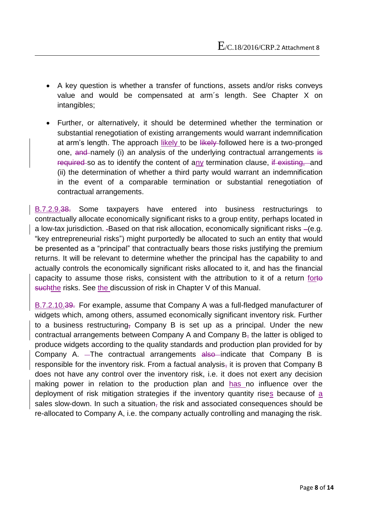- A key question is whether a transfer of functions, assets and/or risks conveys value and would be compensated at arm´s length. See Chapter X on intangibles;
- Further, or alternatively, it should be determined whether the termination or substantial renegotiation of existing arrangements would warrant indemnification at arm's length. The approach likely to be likely followed here is a two-pronged one, and namely (i) an analysis of the underlying contractual arrangements is required so as to identify the content of any termination clause, if existing, and (ii) the determination of whether a third party would warrant an indemnification in the event of a comparable termination or substantial renegotiation of contractual arrangements.

B.7.2.9.38. Some taxpayers have entered into business restructurings to contractually allocate economically significant risks to a group entity, perhaps located in a low-tax jurisdiction. -Based on that risk allocation, economically significant risks  $-(e.g.,)$ "key entrepreneurial risks") might purportedly be allocated to such an entity that would be presented as a "principal" that contractually bears those risks justifying the premium returns. It will be relevant to determine whether the principal has the capability to and actually controls the economically significant risks allocated to it, and has the financial capacity to assume those risks, consistent with the attribution to it of a return forto suchthe risks. See the discussion of risk in Chapter V of this Manual.

B.7.2.10.39. For example, assume that Company A was a full-fledged manufacturer of widgets which, among others, assumed economically significant inventory risk. Further to a business restructuring, Company B is set up as a principal. Under the new contractual arrangements between Company A and Company  $B<sub>7</sub>$  the latter is obliged to produce widgets according to the quality standards and production plan provided for by Company A.  $-$ The contractual arrangements  $a$ lso indicate that Company B is responsible for the inventory risk. From a factual analysis, it is proven that Company B does not have any control over the inventory risk, i.e. it does not exert any decision making power in relation to the production plan and has no influence over the deployment of risk mitigation strategies if the inventory quantity rises because of  $a$ sales slow-down. In such a situation-the risk and associated consequences should be re-allocated to Company A, i.e. the company actually controlling and managing the risk.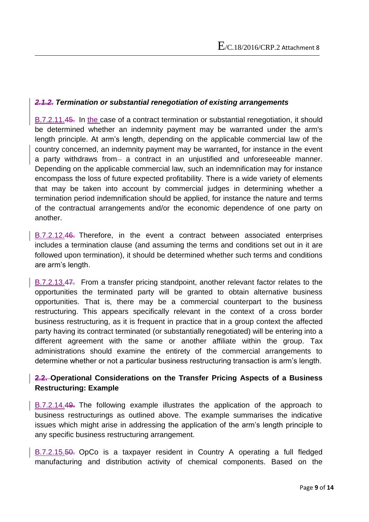### *2.1.2. Termination or substantial renegotiation of existing arrangements*

B.7.2.11.45. In the case of a contract termination or substantial renegotiation, it should be determined whether an indemnity payment may be warranted under the arm's length principle. At arm's length, depending on the applicable commercial law of the country concerned, an indemnity payment may be warranted, for instance in the event a party withdraws from- a contract in an unjustified and unforeseeable manner. Depending on the applicable commercial law, such an indemnification may for instance encompass the loss of future expected profitability. There is a wide variety of elements that may be taken into account by commercial judges in determining whether a termination period indemnification should be applied, for instance the nature and terms of the contractual arrangements and/or the economic dependence of one party on another.

B.7.2.12.46. Therefore, in the event a contract between associated enterprises includes a termination clause (and assuming the terms and conditions set out in it are followed upon termination), it should be determined whether such terms and conditions are arm's length.

B.7.2.13.47. From a transfer pricing standpoint, another relevant factor relates to the opportunities the terminated party will be granted to obtain alternative business opportunities. That is, there may be a commercial counterpart to the business restructuring. This appears specifically relevant in the context of a cross border business restructuring, as it is frequent in practice that in a group context the affected party having its contract terminated (or substantially renegotiated) will be entering into a different agreement with the same or another affiliate within the group. Tax administrations should examine the entirety of the commercial arrangements to determine whether or not a particular business restructuring transaction is arm's length.

### **2.2. Operational Considerations on the Transfer Pricing Aspects of a Business Restructuring: Example**

B.7.2.14.49. The following example illustrates the application of the approach to business restructurings as outlined above. The example summarises the indicative issues which might arise in addressing the application of the arm's length principle to any specific business restructuring arrangement.

B.7.2.15.50. OpCo is a taxpayer resident in Country A operating a full fledged manufacturing and distribution activity of chemical components. Based on the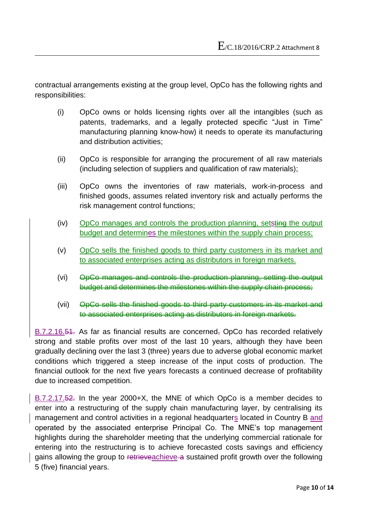contractual arrangements existing at the group level, OpCo has the following rights and responsibilities:

- (i) OpCo owns or holds licensing rights over all the intangibles (such as patents, trademarks, and a legally protected specific "Just in Time" manufacturing planning know-how) it needs to operate its manufacturing and distribution activities;
- (ii) OpCo is responsible for arranging the procurement of all raw materials (including selection of suppliers and qualification of raw materials);
- (iii) OpCo owns the inventories of raw materials, work-in-process and finished goods, assumes related inventory risk and actually performs the risk management control functions;
- (iv) OpCo manages and controls the production planning, setsting the output budget and determines the milestones within the supply chain process;
- (v) OpCo sells the finished goods to third party customers in its market and to associated enterprises acting as distributors in foreign markets.
- (vi) OpCo manages and controls the production planning, setting the output budget and determines the milestones within the supply chain process;
- (vii) OpCo sells the finished goods to third party customers in its market and to associated enterprises acting as distributors in foreign markets.

B.7.2.16.51. As far as financial results are concerned, OpCo has recorded relatively strong and stable profits over most of the last 10 years, although they have been gradually declining over the last 3 (three) years due to adverse global economic market conditions which triggered a steep increase of the input costs of production. The financial outlook for the next five years forecasts a continued decrease of profitability due to increased competition.

B.7.2.17.52. In the year 2000+X, the MNE of which OpCo is a member decides to enter into a restructuring of the supply chain manufacturing layer, by centralising its management and control activities in a regional headquarters located in Country B and operated by the associated enterprise Principal Co. The MNE's top management highlights during the shareholder meeting that the underlying commercial rationale for entering into the restructuring is to achieve forecasted costs savings and efficiency gains allowing the group to retrieveachieve a sustained profit growth over the following 5 (five) financial years.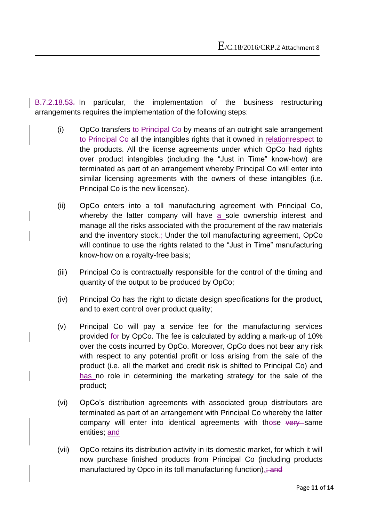B.7.2.18.53. In particular, the implementation of the business restructuring arrangements requires the implementation of the following steps:

- (i) OpCo transfers to Principal Co by means of an outright sale arrangement to Principal Co all the intangibles rights that it owned in relationrespect to the products. All the license agreements under which OpCo had rights over product intangibles (including the "Just in Time" know-how) are terminated as part of an arrangement whereby Principal Co will enter into similar licensing agreements with the owners of these intangibles (i.e. Principal Co is the new licensee).
- (ii) OpCo enters into a toll manufacturing agreement with Principal Co, whereby the latter company will have a sole ownership interest and manage all the risks associated with the procurement of the raw materials and the inventory stock.; Under the toll manufacturing agreement, OpCo will continue to use the rights related to the "Just in Time" manufacturing know-how on a royalty-free basis;
- (iii) Principal Co is contractually responsible for the control of the timing and quantity of the output to be produced by OpCo;
- (iv) Principal Co has the right to dictate design specifications for the product, and to exert control over product quality;
- (v) Principal Co will pay a service fee for the manufacturing services provided for by OpCo. The fee is calculated by adding a mark-up of 10% over the costs incurred by OpCo. Moreover, OpCo does not bear any risk with respect to any potential profit or loss arising from the sale of the product (i.e. all the market and credit risk is shifted to Principal Co) and has no role in determining the marketing strategy for the sale of the product;
- (vi) OpCo's distribution agreements with associated group distributors are terminated as part of an arrangement with Principal Co whereby the latter company will enter into identical agreements with those very same entities; and
- (vii) OpCo retains its distribution activity in its domestic market, for which it will now purchase finished products from Principal Co (including products manufactured by Opco in its toll manufacturing function). and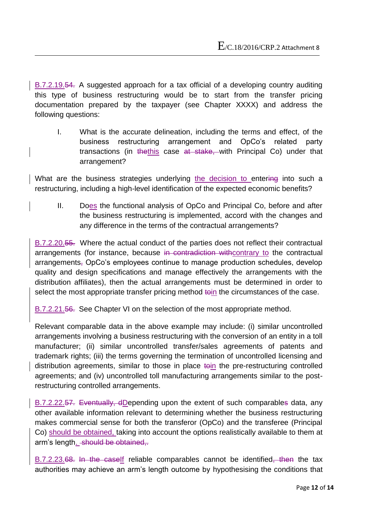B.7.2.19.54. A suggested approach for a tax official of a developing country auditing this type of business restructuring would be to start from the transfer pricing documentation prepared by the taxpayer (see Chapter XXXX) and address the following questions:

I. What is the accurate delineation, including the terms and effect, of the business restructuring arrangement and OpCo's related party transactions (in thethis case at stake, with Principal Co) under that arrangement?

What are the business strategies underlying the decision to entering into such a restructuring, including a high-level identification of the expected economic benefits?

II. Does the functional analysis of OpCo and Principal Co, before and after the business restructuring is implemented, accord with the changes and any difference in the terms of the contractual arrangements?

B.7.2.20.55. Where the actual conduct of the parties does not reflect their contractual arrangements (for instance, because in contradiction withcontrary to the contractual arrangements, OpCo's employees continue to manage production schedules, develop quality and design specifications and manage effectively the arrangements with the distribution affiliates), then the actual arrangements must be determined in order to select the most appropriate transfer pricing method to the circumstances of the case.

B.7.2.21.56. See Chapter VI on the selection of the most appropriate method.

Relevant comparable data in the above example may include: (i) similar uncontrolled arrangements involving a business restructuring with the conversion of an entity in a toll manufacturer; (ii) similar uncontrolled transfer/sales agreements of patents and trademark rights; (iii) the terms governing the termination of uncontrolled licensing and distribution agreements, similar to those in place to in the pre-restructuring controlled agreements; and (iv) uncontrolled toll manufacturing arrangements similar to the postrestructuring controlled arrangements.

B.7.2.22.57. Eventually, dDepending upon the extent of such comparables data, any other available information relevant to determining whether the business restructuring makes commercial sense for both the transferor (OpCo) and the transferee (Principal Co) should be obtained, taking into account the options realistically available to them at arm's length. should be obtained,.

B.7.2.23.68. In the caself reliable comparables cannot be identified, then the tax authorities may achieve an arm's length outcome by hypothesising the conditions that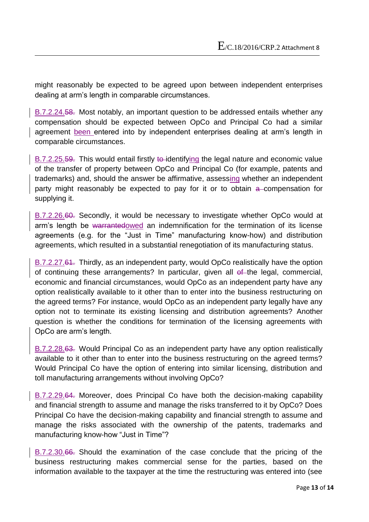might reasonably be expected to be agreed upon between independent enterprises dealing at arm's length in comparable circumstances.

B.7.2.24.58. Most notably, an important question to be addressed entails whether any compensation should be expected between OpCo and Principal Co had a similar agreement been entered into by independent enterprises dealing at arm's length in comparable circumstances.

 $B.7.2.25.59.$  This would entail firstly to identifying the legal nature and economic value of the transfer of property between OpCo and Principal Co (for example, patents and trademarks) and, should the answer be affirmative, assessing whether an independent party might reasonably be expected to pay for it or to obtain a compensation for supplying it.

B.7.2.26.60. Secondly, it would be necessary to investigate whether OpCo would at arm's length be warrantedowed an indemnification for the termination of its license agreements (e.g. for the "Just in Time" manufacturing know-how) and distribution agreements, which resulted in a substantial renegotiation of its manufacturing status.

B.7.2.27.61. Thirdly, as an independent party, would OpCo realistically have the option of continuing these arrangements? In particular, given all of the legal, commercial, economic and financial circumstances, would OpCo as an independent party have any option realistically available to it other than to enter into the business restructuring on the agreed terms? For instance, would OpCo as an independent party legally have any option not to terminate its existing licensing and distribution agreements? Another question is whether the conditions for termination of the licensing agreements with OpCo are arm's length.

B.7.2.28.63. Would Principal Co as an independent party have any option realistically available to it other than to enter into the business restructuring on the agreed terms? Would Principal Co have the option of entering into similar licensing, distribution and toll manufacturing arrangements without involving OpCo?

B.7.2.29.64. Moreover, does Principal Co have both the decision-making capability and financial strength to assume and manage the risks transferred to it by OpCo? Does Principal Co have the decision-making capability and financial strength to assume and manage the risks associated with the ownership of the patents, trademarks and manufacturing know-how "Just in Time"?

B.7.2.30.66. Should the examination of the case conclude that the pricing of the business restructuring makes commercial sense for the parties, based on the information available to the taxpayer at the time the restructuring was entered into (see